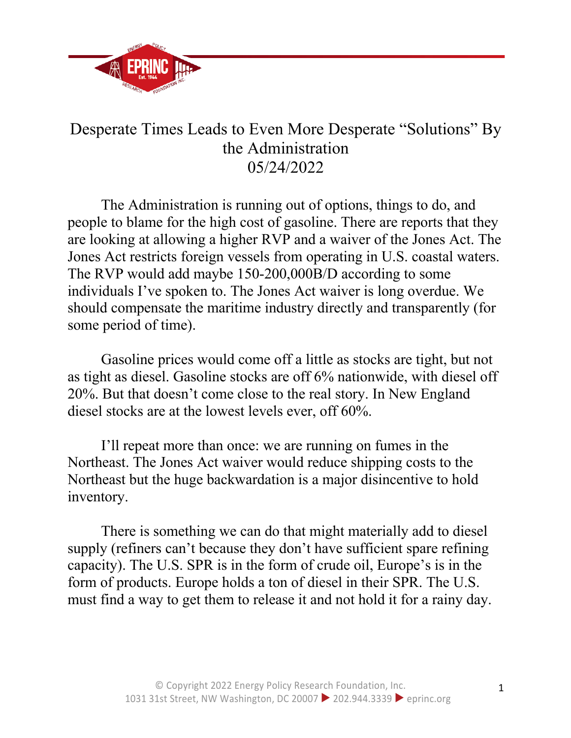

## Desperate Times Leads to Even More Desperate "Solutions" By the Administration 05/24/2022

The Administration is running out of options, things to do, and people to blame for the high cost of gasoline. There are reports that they are looking at allowing a higher RVP and a waiver of the Jones Act. The Jones Act restricts foreign vessels from operating in U.S. coastal waters. The RVP would add maybe 150-200,000B/D according to some individuals I've spoken to. The Jones Act waiver is long overdue. We should compensate the maritime industry directly and transparently (for some period of time).

Gasoline prices would come off a little as stocks are tight, but not as tight as diesel. Gasoline stocks are off 6% nationwide, with diesel off 20%. But that doesn't come close to the real story. In New England diesel stocks are at the lowest levels ever, off 60%.

I'll repeat more than once: we are running on fumes in the Northeast. The Jones Act waiver would reduce shipping costs to the Northeast but the huge backwardation is a major disincentive to hold inventory.

There is something we can do that might materially add to diesel supply (refiners can't because they don't have sufficient spare refining capacity). The U.S. SPR is in the form of crude oil, Europe's is in the form of products. Europe holds a ton of diesel in their SPR. The U.S. must find a way to get them to release it and not hold it for a rainy day.